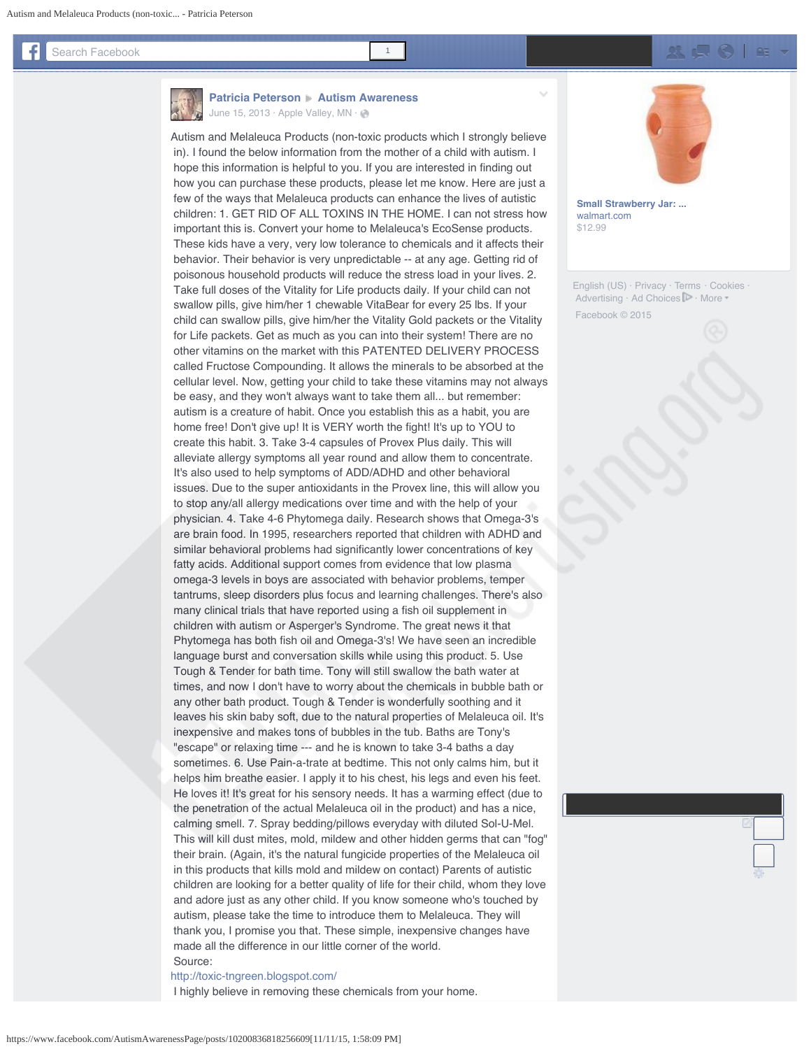## <span id="page-0-0"></span>Search Facebook <sup>1</sup>

[g](https://www.facebook.com/a.php?u=http%3A%2F%2Fr.turn.com%2Fr%2Ffbxclick%3Furl%3Dhttps%253A%252F%252Fbs.serving-sys.com%252FBurstingPipe%252FadServer.bs%253Fcn%253Dtf%2526c%253D20%2526mc%253Dclick%2526pli%253D10287246%2526PluID%253D0%2526ord%253D1447267962%26cp%3DuiExYbAZND-b__9_fAYBAA&__tn__=%2AB&xt=3.6215968565880995681.6024875916645.12.0.AQLXDmKs8yr03sa9BLsKO5jtfiBr66BfKsdYT1Q1OH9vioZGnGgAPbmhvTtm7kldOgLvVG5K-48yyMdFdMj5UmHoFVu6vgF1H9U1R2P_-iJkXD7mws9wAAp2Zh24qcQ0G9a8D-2ZmvxrNZTNu8Ps3fL5cloQloTfTPWH-8GIKeVUGtdZkm1KJwb_nYEN99ddOIYQP8kC-3wj8G2F-uH4gsroZH_VpKmDg2qo_W4dwJ7n7CHt7d7JWQDlf0Hcg5XSLHpwPPGKYU4vbI2A7d8_5IiuMfaGopwD80-bGF-5vVO1qQ&mac=AQJq2sOVo_Gr-aYi)



## **[Patricia Peterson](https://www.facebook.com/godzgirl37?fref=nf) > [Autism Awareness](https://www.facebook.com/AutismAwarenessPage/?fref=nf)** [June 15, 2013](#page-0-0)  $\cdot$  [Apple Valley, MN](https://www.facebook.com/pages/Apple-Valley-Minnesota/103133753060750)  $\cdot$   $\otimes$

Autism and Melaleuca Products (non-toxic products which I strongly believe in). I found the below information from the mother of a child with autism. I hope this information is helpful to you. If you are interested in finding out how you can purchase these products, please let me know. Here are just a few of the ways that Melaleuca products can enhance the lives of autistic children: 1. GET RID OF ALL TOXINS IN THE HOME. I can not stress how important this is. Convert your home to Melaleuca's EcoSense products. These kids have a very, very low tolerance to chemicals and it affects their behavior. Their behavior is very unpredictable -- at any age. Getting rid of poisonous household products will reduce the stress load in your lives. 2. Take full doses of the Vitality for Life products daily. If your child can not swallow pills, give him/her 1 chewable VitaBear for every 25 lbs. If your child can swallow pills, give him/her the Vitality Gold packets or the Vitality for Life packets. Get as much as you can into their system! There are no other vitamins on the market with this PATENTED DELIVERY PROCESS called Fructose Compounding. It allows the minerals to be absorbed at the cellular level. Now, getting your child to take these vitamins may not always be easy, and they won't always want to take them all... but remember: autism is a creature of habit. Once you establish this as a habit, you are home free! Don't give up! It is VERY worth the fight! It's up to YOU to create this habit. 3. Take 3-4 capsules of Provex Plus daily. This will alleviate allergy symptoms all year round and allow them to concentrate. It's also used to help symptoms of ADD/ADHD and other behavioral issues. Due to the super antioxidants in the Provex line, this will allow you to stop any/all allergy medications over time and with the help of your physician. 4. Take 4-6 Phytomega daily. Research shows that Omega-3's are brain food. In 1995, researchers reported that children with ADHD and similar behavioral problems had significantly lower concentrations of key fatty acids. Additional support comes from evidence that low plasma omega-3 levels in boys are associated with behavior problems, temper tantrums, sleep disorders plus focus and learning challenges. There's also many clinical trials that have reported using a fish oil supplement in children with autism or Asperger's Syndrome. The great news it that Phytomega has both fish oil and Omega-3's! We have seen an incredible language burst and conversation skills while using this product. 5. Use Tough & Tender for bath time. Tony will still swallow the bath water at times, and now I don't have to worry about the chemicals in bubble bath or any other bath product. Tough & Tender is wonderfully soothing and it leaves his skin baby soft, due to the natural properties of Melaleuca oil. It's inexpensive and makes tons of bubbles in the tub. Baths are Tony's "escape" or relaxing time --- and he is known to take 3-4 baths a day sometimes. 6. Use Pain-a-trate at bedtime. This not only calms him, but it helps him breathe easier. I apply it to his chest, his legs and even his feet. He loves it! It's great for his sensory needs. It has a warming effect (due to the penetration of the actual Melaleuca oil in the product) and has a nice, calming smell. 7. Spray bedding/pillows everyday with diluted Sol-U-Mel. This will kill dust mites, mold, mildew and other hidden germs that can "fog" their brain. (Again, it's the natural fungicide properties of the Melaleuca oil in this products that kills mold and mildew on contact) Parents of autistic children are looking for a better quality of life for their child, whom they love and adore just as any other child. If you know someone who's touched by autism, please take the time to introduce them to Melaleuca. They will thank you, I promise you that. These simple, inexpensive changes have made all the difference in our little corner of the world. Source:

[http://toxic-tngreen.blogspot.com/](http://l.facebook.com/l.php?u=http%3A%2F%2Ftoxic-tngreen.blogspot.com%2F&h=vAQEh85JMAQHAg8DuipznasJX7FquxIsMh12JsbPB2kysuw&enc=AZN7_vtWMy7n_YIKh4GCQJMPUo2VI_dJyDTm99HAj_v1Cn__GLvGqkDZ6Qp9eBk0eXshyQVp_4nMIkRYavFtKxQv6NachSSUuynXhh3oUzXH-4qMxuyX_ZW5KZheVhFUDfuROC3RINZS4DXGypgh0ONbRXhz7fm4EbmPgKTVEzDP33kBm3OvQi5fYwT-jWORcVk&s=1)

I highly believe in removing these chemicals from your home.



**[Small Strawberry Jar: ...](https://www.facebook.com/a.php?u=https%3A%2F%2Fcat.ny.us.criteo.com%2Fdelivery%2Fckf.php%3Fcppv%3D1%26cpp%3DRRilj3xHV1lFQ1F4YTN1VXdqYlFTS09vaGZnUkZ4RjZ3MGo1ZkcxZGZTdDJqVStSa1QrRW9GKzNQQm8yaWxaSDZUK3VnS1dUTW5RSVQrT2R1RDQ2VnNOZmxQcW9mMjdZOVpTTlhIdzQ3Y0pKU0dtOE83M29jSVB0K0o3TXNuaVpudUYvcDEyNllkSWVKMloydGRkeWVyYmtCaWEwaXZ0ckVXNDh1MnNwNmN5eWZhNHBleUJDd2hPLzdOTm5yM09VRkpiMEkweUZNeC9pMFpyd1pqVWhHOStJM2t5OVRoTHMwN2dOUUtRYmZYSHFBYlZrcXFnUlNSWCtKQ3FadmlVRVJZWnhhT3EvVGZyMFJPRmc5ZWJPb1FNWHhjWWpId2sxOXVCdW1aS3QyTXRvSEs3dz18%26maxdest%3Dhttp%253A%252F%252Fwww.walmart.com%252Fip%252FMiles-Kimball-Strawberry-Jar%252F37533415%253Fveh%253Ddsn%2526wmlspartner%253Dcriteo%2526sourceid%253Dcricpa123456789abcdefghijklmnopqrstuvwxyz%26cp%3D1&__tn__=%2AB&xt=3.6215968565821362849.6024801984721.12.0.AQImktzHq0MRhvx6jW1yXEPGPe5wbVTV5bIlryL2xFgLJ6FjNIvcgDv6_rO56GKySn8xk-FaCH01X7ZiGZbGeN1zDFfXsq7LpOipXcvgVp5rXWVDLstyhPyZD9Lp10aWtgGqHssuHrL-yh7h50OJXeD7ruQ7gim3LGeZ_bZ5GHhCs-B3cdobR9hYo65hc3tB8X_HnUBnx-I1lhA-_L_LezmSRmk8ZmKQOd2sOu78siwh9ANdOF_qbckbEotDD_FH1k54-yn12CO24TG1mmmjvsHH2T9jLDsiptkuw1g-saGSUw&mac=AQIVn5mXqF64CdAD)** [walmart.com](https://www.facebook.com/a.php?u=https%3A%2F%2Fcat.ny.us.criteo.com%2Fdelivery%2Fckf.php%3Fcppv%3D1%26cpp%3DRRilj3xHV1lFQ1F4YTN1VXdqYlFTS09vaGZnUkZ4RjZ3MGo1ZkcxZGZTdDJqVStSa1QrRW9GKzNQQm8yaWxaSDZUK3VnS1dUTW5RSVQrT2R1RDQ2VnNOZmxQcW9mMjdZOVpTTlhIdzQ3Y0pKU0dtOE83M29jSVB0K0o3TXNuaVpudUYvcDEyNllkSWVKMloydGRkeWVyYmtCaWEwaXZ0ckVXNDh1MnNwNmN5eWZhNHBleUJDd2hPLzdOTm5yM09VRkpiMEkweUZNeC9pMFpyd1pqVWhHOStJM2t5OVRoTHMwN2dOUUtRYmZYSHFBYlZrcXFnUlNSWCtKQ3FadmlVRVJZWnhhT3EvVGZyMFJPRmc5ZWJPb1FNWHhjWWpId2sxOXVCdW1aS3QyTXRvSEs3dz18%26maxdest%3Dhttp%253A%252F%252Fwww.walmart.com%252Fip%252FMiles-Kimball-Strawberry-Jar%252F37533415%253Fveh%253Ddsn%2526wmlspartner%253Dcriteo%2526sourceid%253Dcricpa123456789abcdefghijklmnopqrstuvwxyz%26cp%3D1&__tn__=%2AB&xt=3.6215968565821362849.6024801984721.12.0.AQImktzHq0MRhvx6jW1yXEPGPe5wbVTV5bIlryL2xFgLJ6FjNIvcgDv6_rO56GKySn8xk-FaCH01X7ZiGZbGeN1zDFfXsq7LpOipXcvgVp5rXWVDLstyhPyZD9Lp10aWtgGqHssuHrL-yh7h50OJXeD7ruQ7gim3LGeZ_bZ5GHhCs-B3cdobR9hYo65hc3tB8X_HnUBnx-I1lhA-_L_LezmSRmk8ZmKQOd2sOu78siwh9ANdOF_qbckbEotDD_FH1k54-yn12CO24TG1mmmjvsHH2T9jLDsiptkuw1g-saGSUw&mac=AQIVn5mXqF64CdAD) [\\$12.99](https://www.facebook.com/a.php?u=https%3A%2F%2Fcat.ny.us.criteo.com%2Fdelivery%2Fckf.php%3Fcppv%3D1%26cpp%3DRRilj3xHV1lFQ1F4YTN1VXdqYlFTS09vaGZnUkZ4RjZ3MGo1ZkcxZGZTdDJqVStSa1QrRW9GKzNQQm8yaWxaSDZUK3VnS1dUTW5RSVQrT2R1RDQ2VnNOZmxQcW9mMjdZOVpTTlhIdzQ3Y0pKU0dtOE83M29jSVB0K0o3TXNuaVpudUYvcDEyNllkSWVKMloydGRkeWVyYmtCaWEwaXZ0ckVXNDh1MnNwNmN5eWZhNHBleUJDd2hPLzdOTm5yM09VRkpiMEkweUZNeC9pMFpyd1pqVWhHOStJM2t5OVRoTHMwN2dOUUtRYmZYSHFBYlZrcXFnUlNSWCtKQ3FadmlVRVJZWnhhT3EvVGZyMFJPRmc5ZWJPb1FNWHhjWWpId2sxOXVCdW1aS3QyTXRvSEs3dz18%26maxdest%3Dhttp%253A%252F%252Fwww.walmart.com%252Fip%252FMiles-Kimball-Strawberry-Jar%252F37533415%253Fveh%253Ddsn%2526wmlspartner%253Dcriteo%2526sourceid%253Dcricpa123456789abcdefghijklmnopqrstuvwxyz%26cp%3D1&__tn__=%2AB&xt=3.6215968565821362849.6024801984721.12.0.AQImktzHq0MRhvx6jW1yXEPGPe5wbVTV5bIlryL2xFgLJ6FjNIvcgDv6_rO56GKySn8xk-FaCH01X7ZiGZbGeN1zDFfXsq7LpOipXcvgVp5rXWVDLstyhPyZD9Lp10aWtgGqHssuHrL-yh7h50OJXeD7ruQ7gim3LGeZ_bZ5GHhCs-B3cdobR9hYo65hc3tB8X_HnUBnx-I1lhA-_L_LezmSRmk8ZmKQOd2sOu78siwh9ANdOF_qbckbEotDD_FH1k54-yn12CO24TG1mmmjvsHH2T9jLDsiptkuw1g-saGSUw&mac=AQIVn5mXqF64CdAD)

[English \(US\)](#page-0-0) · [Privacy](https://www.facebook.com/privacy/explanation) · [Terms](https://www.facebook.com/policies?ref=pf) · [Cookies](https://www.facebook.com/help/cookies?ref_type=sitefooter) · Advertising · Ad Choices **F** · [More](#page-0-0) Facebook © 2015